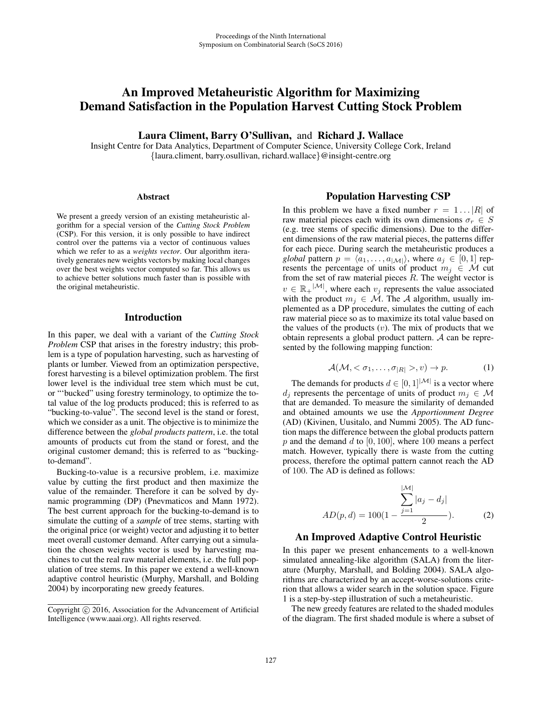# An Improved Metaheuristic Algorithm for Maximizing Demand Satisfaction in the Population Harvest Cutting Stock Problem

Laura Climent, Barry O'Sullivan, and Richard J. Wallace

Insight Centre for Data Analytics, Department of Computer Science, University College Cork, Ireland {laura.climent, barry.osullivan, richard.wallace}@insight-centre.org

#### **Abstract**

We present a greedy version of an existing metaheuristic algorithm for a special version of the *Cutting Stock Problem* (CSP). For this version, it is only possible to have indirect control over the patterns via a vector of continuous values which we refer to as a *weights vector*. Our algorithm iteratively generates new weights vectors by making local changes over the best weights vector computed so far. This allows us to achieve better solutions much faster than is possible with the original metaheuristic.

### Introduction

In this paper, we deal with a variant of the *Cutting Stock Problem* CSP that arises in the forestry industry; this problem is a type of population harvesting, such as harvesting of plants or lumber. Viewed from an optimization perspective, forest harvesting is a bilevel optimization problem. The first lower level is the individual tree stem which must be cut, or "'bucked" using forestry terminology, to optimize the total value of the log products produced; this is referred to as "bucking-to-value". The second level is the stand or forest, which we consider as a unit. The objective is to minimize the difference between the *global products pattern*, i.e. the total amounts of products cut from the stand or forest, and the original customer demand; this is referred to as "buckingto-demand".

Bucking-to-value is a recursive problem, i.e. maximize value by cutting the first product and then maximize the value of the remainder. Therefore it can be solved by dynamic programming (DP) (Pnevmaticos and Mann 1972). The best current approach for the bucking-to-demand is to simulate the cutting of a *sample* of tree stems, starting with the original price (or weight) vector and adjusting it to better meet overall customer demand. After carrying out a simulation the chosen weights vector is used by harvesting machines to cut the real raw material elements, i.e. the full population of tree stems. In this paper we extend a well-known adaptive control heuristic (Murphy, Marshall, and Bolding 2004) by incorporating new greedy features.

#### Population Harvesting CSP

In this problem we have a fixed number  $r = 1...|R|$  of raw material pieces each with its own dimensions  $\sigma_r \in S$ (e.g. tree stems of specific dimensions). Due to the different dimensions of the raw material pieces, the patterns differ for each piece. During search the metaheuristic produces a *global* pattern  $p = \langle a_1, \ldots, a_{|\mathcal{M}|} \rangle$ , where  $a_j \in [0, 1]$  represents the percentage of units of product  $m_i \in \mathcal{M}$  cut from the set of raw material pieces  $R$ . The weight vector is  $v \in \mathbb{R}_+^{|\mathcal{M}|}$ , where each  $v_j$  represents the value associated with the product  $m_j \in \mathcal{M}$ . The A algorithm, usually implemented as a DP procedure, simulates the cutting of each raw material piece so as to maximize its total value based on the values of the products  $(v)$ . The mix of products that we obtain represents a global product pattern. A can be represented by the following mapping function:

$$
\mathcal{A}(\mathcal{M}, < \sigma_1, \dots, \sigma_{|R|} >, v) \to p. \tag{1}
$$

The demands for products  $d \in [0, 1]^{|\mathcal{M}|}$  is a vector where  $d_i$  represents the percentage of units of product  $m_i \in \mathcal{M}$ that are demanded. To measure the similarity of demanded and obtained amounts we use the *Apportionment Degree* (AD) (Kivinen, Uusitalo, and Nummi 2005). The AD function maps the difference between the global products pattern  $p$  and the demand d to [0, 100], where 100 means a perfect match. However, typically there is waste from the cutting process, therefore the optimal pattern cannot reach the AD of 100. The AD is defined as follows:

$$
AD(p,d) = 100(1 - \frac{\sum_{j=1}^{|\mathcal{M}|} |a_j - d_j|}{2}).
$$
 (2)

### An Improved Adaptive Control Heuristic

In this paper we present enhancements to a well-known simulated annealing-like algorithm (SALA) from the literature (Murphy, Marshall, and Bolding 2004). SALA algorithms are characterized by an accept-worse-solutions criterion that allows a wider search in the solution space. Figure 1 is a step-by-step illustration of such a metaheuristic.

The new greedy features are related to the shaded modules of the diagram. The first shaded module is where a subset of

Copyright  $\odot$  2016, Association for the Advancement of Artificial Intelligence (www.aaai.org). All rights reserved.